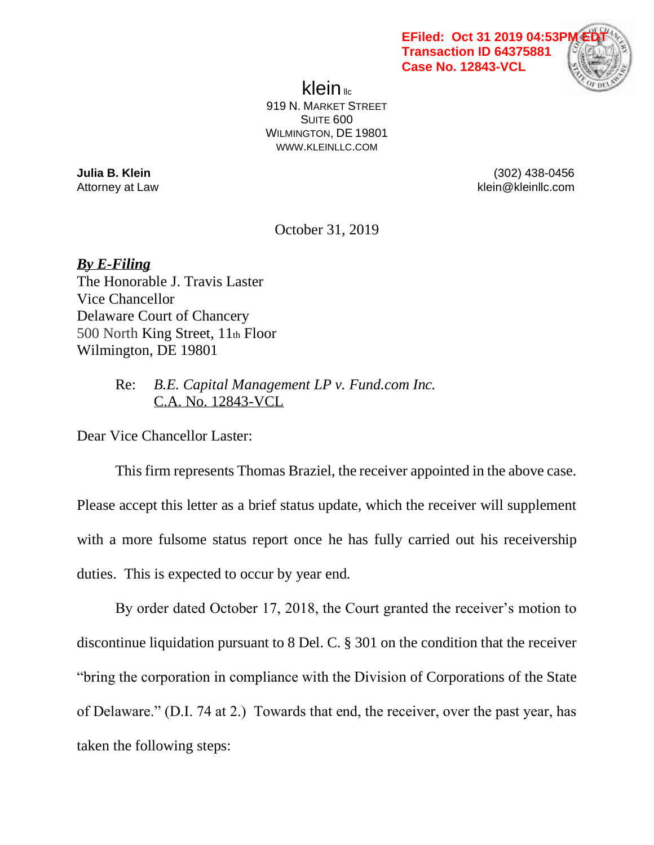

klein $\mathbb{R}$ 919 N. MARKET STREET SUITE 600 WILMINGTON, DE 19801 WWW.KLEINLLC.COM

**Julia B. Klein** (302) 438-0456 Attorney at Law **Attorney at Law** klein@kleinllc.com

October 31, 2019

*By E-Filing* The Honorable J. Travis Laster Vice Chancellor Delaware Court of Chancery 500 North King Street, 11th Floor Wilmington, DE 19801

> Re: *B.E. Capital Management LP v. Fund.com Inc.* C.A. No. 12843-VCL

Dear Vice Chancellor Laster:

This firm represents Thomas Braziel, the receiver appointed in the above case. Please accept this letter as a brief status update, which the receiver will supplement with a more fulsome status report once he has fully carried out his receivership duties. This is expected to occur by year end.

By order dated October 17, 2018, the Court granted the receiver's motion to discontinue liquidation pursuant to 8 Del. C. § 301 on the condition that the receiver "bring the corporation in compliance with the Division of Corporations of the State of Delaware." (D.I. 74 at 2.) Towards that end, the receiver, over the past year, has taken the following steps: